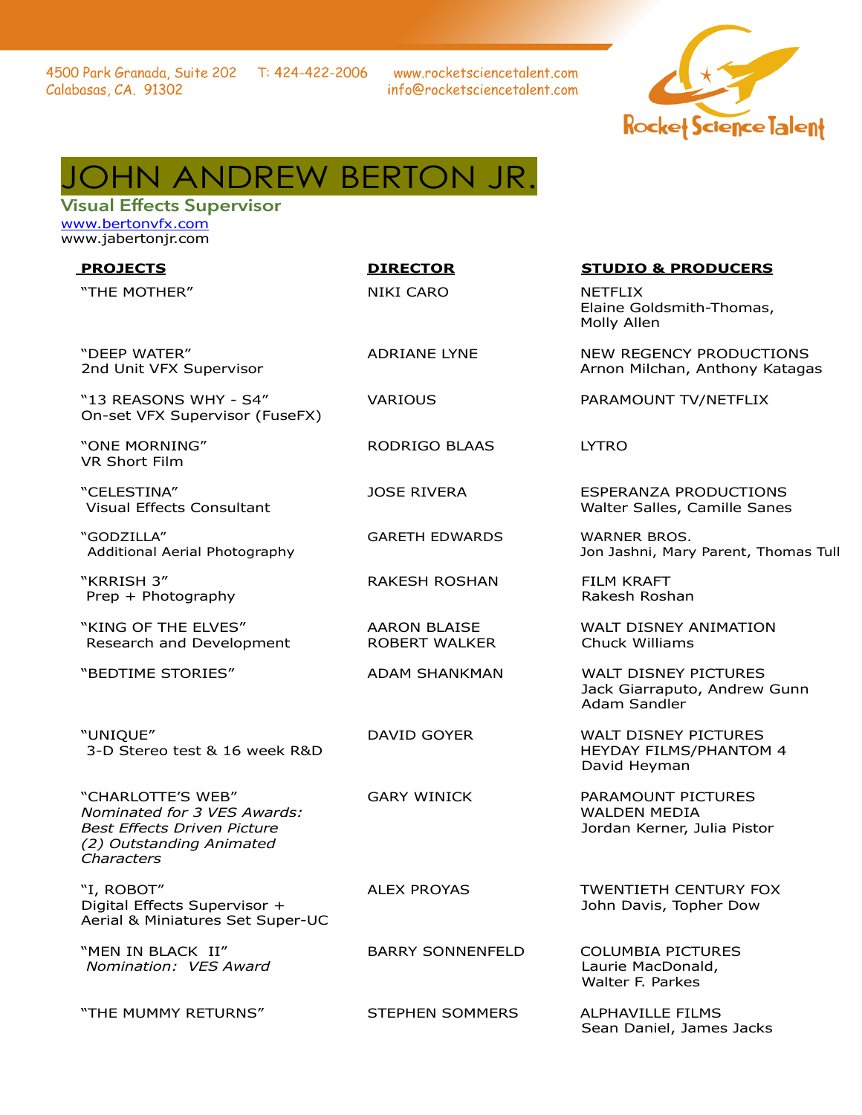www.rocketsciencetalent.com info@rocketsciencetalent.com



## JOHN ANDREW BERTON JR.

Visual Effects Supervisor [www.bertonvfx.com](http://www.bertonvfx.com/) www[.jabertonjr.com](http://jabertonjr.com/)

"THE MOTHER" NIKI CARO NETFLIX

"DEEP WATER" 2nd Unit VFX Supervisor

"13 REASONS WHY - S4" On-set VFX Supervisor (FuseFX)

"ONE MORNING" VR Short Film

"CELESTINA" Visual Effects Consultant

"GODZILLA" Additional Aerial Photography

"KRRISH 3" Prep + Photography

"KING OF THE ELVES" Research and Development

"UNIQUE" 3-D Stereo test & 16 week R&D

AARON BLAISE ROBERT WALKER

"CHARLOTTE'S WEB" *Nominated for 3 VES Awards: Best Effects Driven Picture (2) Outstanding Animated Characters* 

"I, ROBOT" Digital Effects Supervisor + Aerial & Miniatures Set Super-UC

"MEN IN BLACK II"  *Nomination: VES Award*

"THE MUMMY RETURNS" STEPHEN SOMMERS ALPHAVILLE FILMS

## **PROJECTS DIRECTOR STUDIO & PRODUCERS**

Elaine Goldsmith-Thomas, Molly Allen

ADRIANE LYNE NEW REGENCY PRODUCTIONS Arnon Milchan, Anthony Katagas

VARIOUS PARAMOUNT TV/NETFLIX

RODRIGO BLAAS LYTRO

JOSE RIVERA ESPERANZA PRODUCTIONS Walter Salles, Camille Sanes

GARETH EDWARDS WARNER BROS. Jon Jashni, Mary Parent, Thomas Tull

RAKESH ROSHAN FILM KRAFT Rakesh Roshan

> WALT DISNEY ANIMATION Chuck Williams

"BEDTIME STORIES" ADAM SHANKMAN WALT DISNEY PICTURES Jack Giarraputo, Andrew Gunn Adam Sandler

> DAVID GOYER WALT DISNEY PICTURES HEYDAY FILMS/PHANTOM 4 David Heyman

GARY WINICK PARAMOUNT PICTURES WALDEN MEDIA Jordan Kerner, Julia Pistor

ALEX PROYAS TWENTIETH CENTURY FOX John Davis, Topher Dow

BARRY SONNENFELD COLUMBIA PICTURES Laurie MacDonald, Walter F. Parkes

Sean Daniel, James Jacks